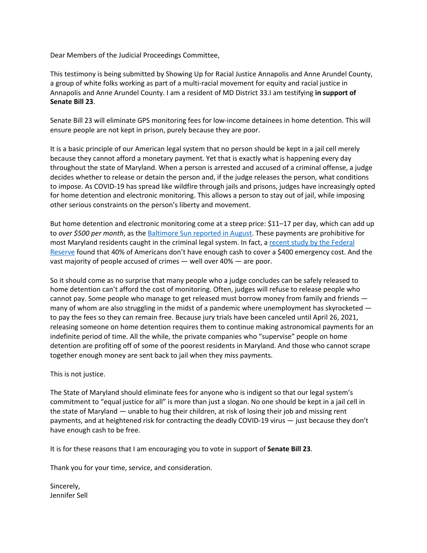Dear Members of the Judicial Proceedings Committee,

This testimony is being submitted by Showing Up for Racial Justice Annapolis and Anne Arundel County, a group of white folks working as part of a multi-racial movement for equity and racial justice in Annapolis and Anne Arundel County. I am a resident of MD District 33.I am testifying **in support of Senate Bill 23**.

Senate Bill 23 will eliminate GPS monitoring fees for low-income detainees in home detention. This will ensure people are not kept in prison, purely because they are poor.

It is a basic principle of our American legal system that no person should be kept in a jail cell merely because they cannot afford a monetary payment. Yet that is exactly what is happening every day throughout the state of Maryland. When a person is arrested and accused of a criminal offense, a judge decides whether to release or detain the person and, if the judge releases the person, what conditions to impose. As COVID-19 has spread like wildfire through jails and prisons, judges have increasingly opted for home detention and electronic monitoring. This allows a person to stay out of jail, while imposing other serious constraints on the person's liberty and movement.

But home detention and electronic monitoring come at a steep price: \$11–17 per day, which can add up to *over \$500 per month*, as the [Baltimore](https://www.baltimoresun.com/coronavirus/bs-md-ci-cr-home-detention-coronavirus-20200828-aqhhndiaereorga6246jjnywqe-story.html) Sun reported in August. These payments are prohibitive for most Maryland residents caught in the criminal legal system. In fact, a recent study by the [Federal](https://abcnews.go.com/US/10-americans-struggle-cover-400-emergency-expense-federal/story?id=63253846#:~:text=Almost%2040%25%20of%20American%20adults,a%20Federal%20Reserve%20survey%20finds) [Reserve](https://abcnews.go.com/US/10-americans-struggle-cover-400-emergency-expense-federal/story?id=63253846#:~:text=Almost%2040%25%20of%20American%20adults,a%20Federal%20Reserve%20survey%20finds) found that 40% of Americans don't have enough cash to cover a \$400 emergency cost. And the vast majority of people accused of crimes — well over 40% — are poor.

So it should come as no surprise that many people who a judge concludes can be safely released to home detention can't afford the cost of monitoring. Often, judges will refuse to release people who cannot pay. Some people who manage to get released must borrow money from family and friends many of whom are also struggling in the midst of a pandemic where unemployment has skyrocketed – to pay the fees so they can remain free. Because jury trials have been canceled until April 26, 2021, releasing someone on home detention requires them to continue making astronomical payments for an indefinite period of time. All the while, the private companies who "supervise" people on home detention are profiting off of some of the poorest residents in Maryland. And those who cannot scrape together enough money are sent back to jail when they miss payments.

This is not justice.

The State of Maryland should eliminate fees for anyone who is indigent so that our legal system's commitment to "equal justice for all" is more than just a slogan. No one should be kept in a jail cell in the state of Maryland — unable to hug their children, at risk of losing their job and missing rent payments, and at heightened risk for contracting the deadly COVID-19 virus — just because they don't have enough cash to be free.

It is for these reasons that I am encouraging you to vote in support of **Senate Bill 23**.

Thank you for your time, service, and consideration.

Sincerely, Jennifer Sell